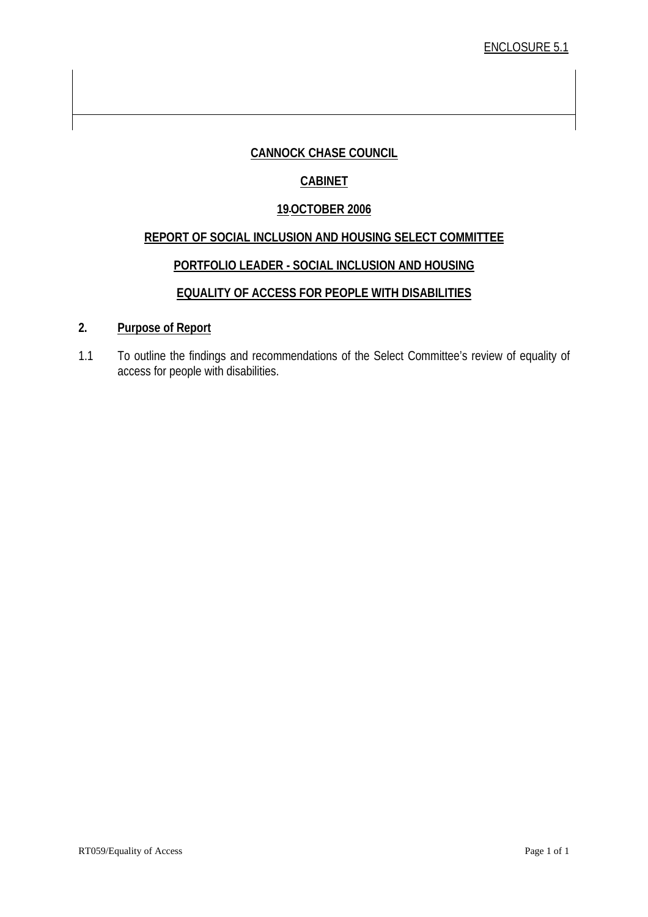#### **CANNOCK CHASE COUNCIL**

#### **CABINET**

#### **19OCTOBER 2006**

#### **REPORT OF SOCIAL INCLUSION AND HOUSING SELECT COMMITTEE**

#### **PORTFOLIO LEADER - SOCIAL INCLUSION AND HOUSING**

#### **EQUALITY OF ACCESS FOR PEOPLE WITH DISABILITIES**

#### **2. Purpose of Report**

1.1 To outline the findings and recommendations of the Select Committee's review of equality of access for people with disabilities.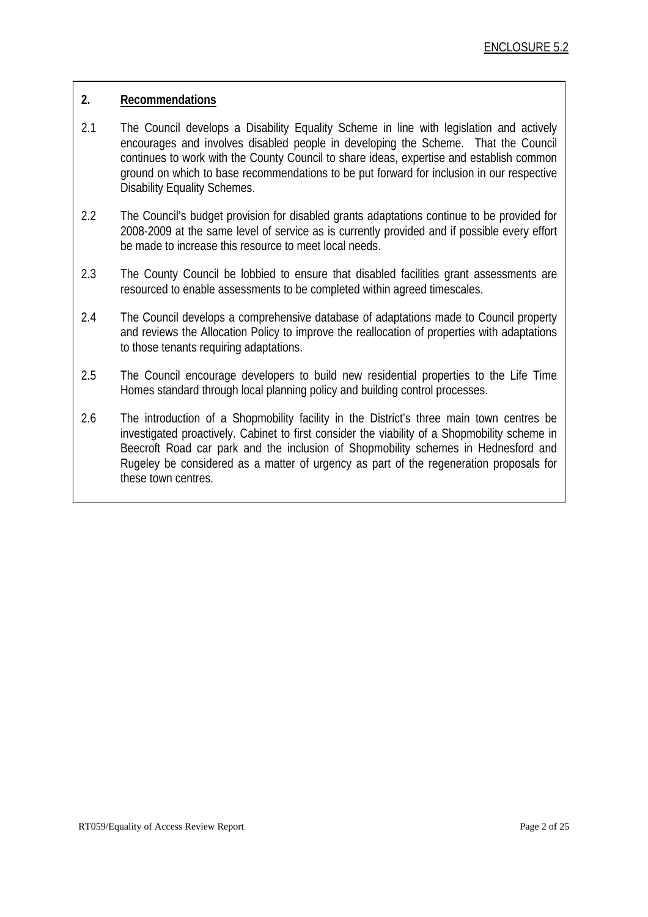#### **2. Recommendations**

- 2.1 The Council develops a Disability Equality Scheme in line with legislation and actively encourages and involves disabled people in developing the Scheme. That the Council continues to work with the County Council to share ideas, expertise and establish common ground on which to base recommendations to be put forward for inclusion in our respective Disability Equality Schemes.
- 2.2 The Council's budget provision for disabled grants adaptations continue to be provided for 2008-2009 at the same level of service as is currently provided and if possible every effort be made to increase this resource to meet local needs.
- 2.3 The County Council be lobbied to ensure that disabled facilities grant assessments are resourced to enable assessments to be completed within agreed timescales.
- 2.4 The Council develops a comprehensive database of adaptations made to Council property and reviews the Allocation Policy to improve the reallocation of properties with adaptations to those tenants requiring adaptations.
- 2.5 The Council encourage developers to build new residential properties to the Life Time Homes standard through local planning policy and building control processes.
- 2.6 The introduction of a Shopmobility facility in the District's three main town centres be investigated proactively. Cabinet to first consider the viability of a Shopmobility scheme in Beecroft Road car park and the inclusion of Shopmobility schemes in Hednesford and Rugeley be considered as a matter of urgency as part of the regeneration proposals for these town centres.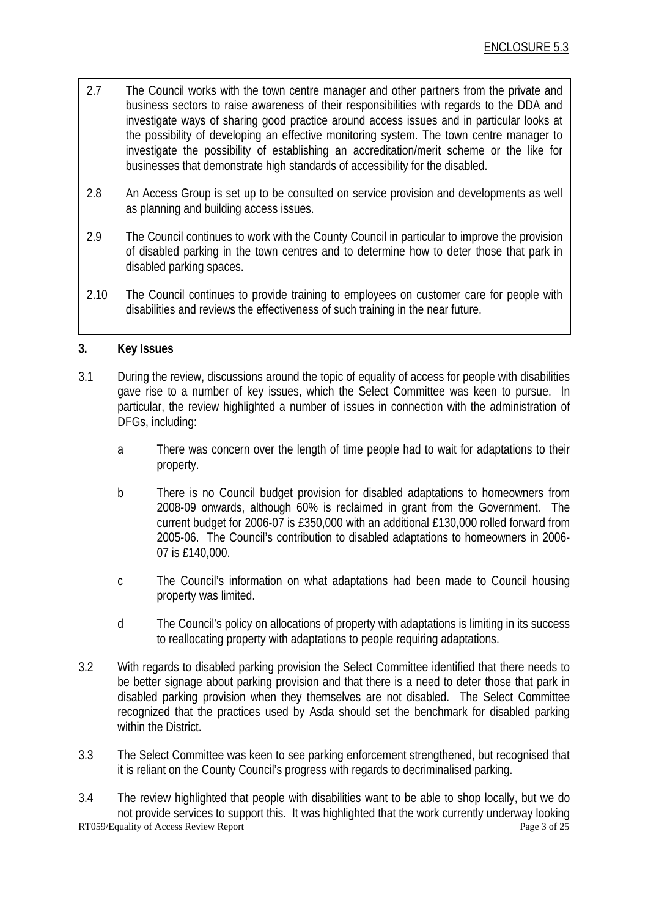- 2.7 The Council works with the town centre manager and other partners from the private and business sectors to raise awareness of their responsibilities with regards to the DDA and investigate ways of sharing good practice around access issues and in particular looks at the possibility of developing an effective monitoring system. The town centre manager to investigate the possibility of establishing an accreditation/merit scheme or the like for businesses that demonstrate high standards of accessibility for the disabled.
- 2.8 An Access Group is set up to be consulted on service provision and developments as well as planning and building access issues.
- 2.9 The Council continues to work with the County Council in particular to improve the provision of disabled parking in the town centres and to determine how to deter those that park in disabled parking spaces.
- 2.10 The Council continues to provide training to employees on customer care for people with disabilities and reviews the effectiveness of such training in the near future.

#### **3. Key Issues**

- 3.1 During the review, discussions around the topic of equality of access for people with disabilities gave rise to a number of key issues, which the Select Committee was keen to pursue. In particular, the review highlighted a number of issues in connection with the administration of DFGs, including:
	- a There was concern over the length of time people had to wait for adaptations to their property.
	- b There is no Council budget provision for disabled adaptations to homeowners from 2008-09 onwards, although 60% is reclaimed in grant from the Government. The current budget for 2006-07 is £350,000 with an additional £130,000 rolled forward from 2005-06. The Council's contribution to disabled adaptations to homeowners in 2006- 07 is £140,000.
	- c The Council's information on what adaptations had been made to Council housing property was limited.
	- d The Council's policy on allocations of property with adaptations is limiting in its success to reallocating property with adaptations to people requiring adaptations.
- 3.2 With regards to disabled parking provision the Select Committee identified that there needs to be better signage about parking provision and that there is a need to deter those that park in disabled parking provision when they themselves are not disabled. The Select Committee recognized that the practices used by Asda should set the benchmark for disabled parking within the District.
- 3.3 The Select Committee was keen to see parking enforcement strengthened, but recognised that it is reliant on the County Council's progress with regards to decriminalised parking.

RT059/Equality of Access Review Report Page 3 of 25 3.4 The review highlighted that people with disabilities want to be able to shop locally, but we do not provide services to support this. It was highlighted that the work currently underway looking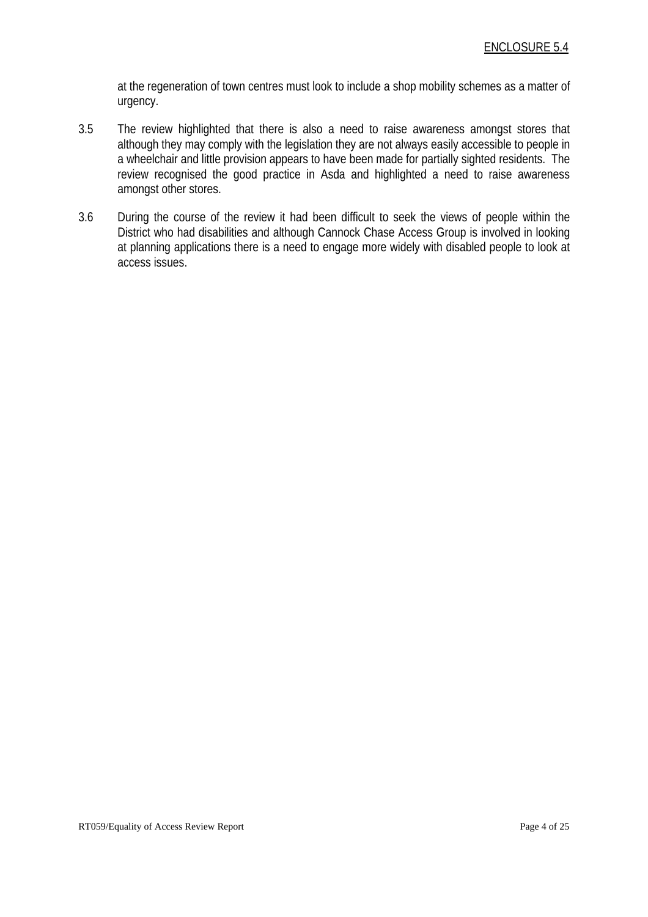at the regeneration of town centres must look to include a shop mobility schemes as a matter of urgency.

- 3.5 The review highlighted that there is also a need to raise awareness amongst stores that although they may comply with the legislation they are not always easily accessible to people in a wheelchair and little provision appears to have been made for partially sighted residents. The review recognised the good practice in Asda and highlighted a need to raise awareness amongst other stores.
- 3.6 During the course of the review it had been difficult to seek the views of people within the District who had disabilities and although Cannock Chase Access Group is involved in looking at planning applications there is a need to engage more widely with disabled people to look at access issues.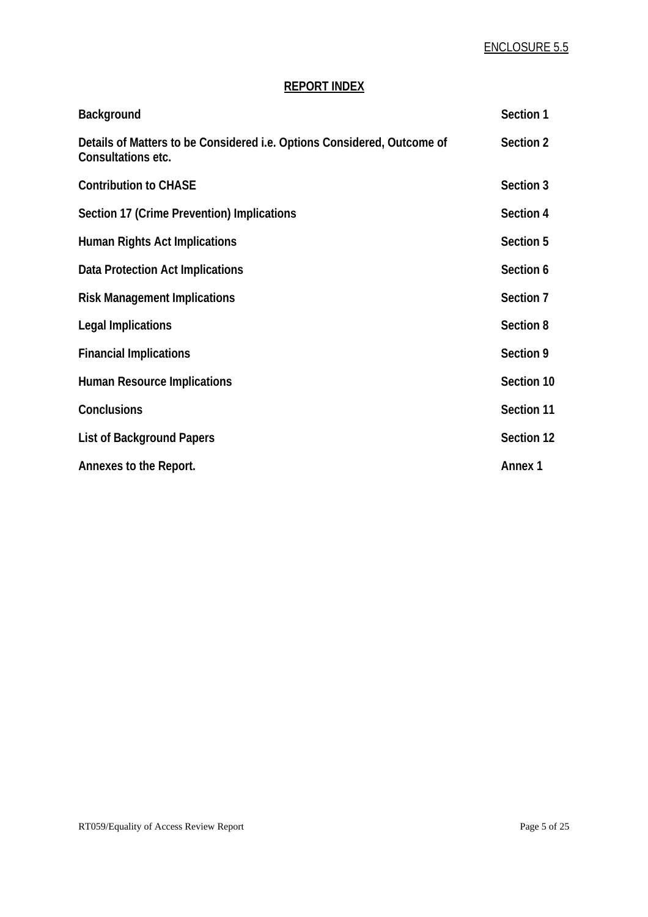#### **REPORT INDEX**

| <b>Background</b>                                                                                    | Section 1      |
|------------------------------------------------------------------------------------------------------|----------------|
| Details of Matters to be Considered <i>i.e.</i> Options Considered, Outcome of<br>Consultations etc. | Section 2      |
| <b>Contribution to CHASE</b>                                                                         | Section 3      |
| Section 17 (Crime Prevention) Implications                                                           | Section 4      |
| <b>Human Rights Act Implications</b>                                                                 | Section 5      |
| Data Protection Act Implications                                                                     | Section 6      |
| <b>Risk Management Implications</b>                                                                  | Section 7      |
| <b>Legal Implications</b>                                                                            | Section 8      |
| <b>Financial Implications</b>                                                                        | Section 9      |
| <b>Human Resource Implications</b>                                                                   | Section 10     |
| Conclusions                                                                                          | Section 11     |
| <b>List of Background Papers</b>                                                                     | Section 12     |
| Annexes to the Report.                                                                               | <b>Annex 1</b> |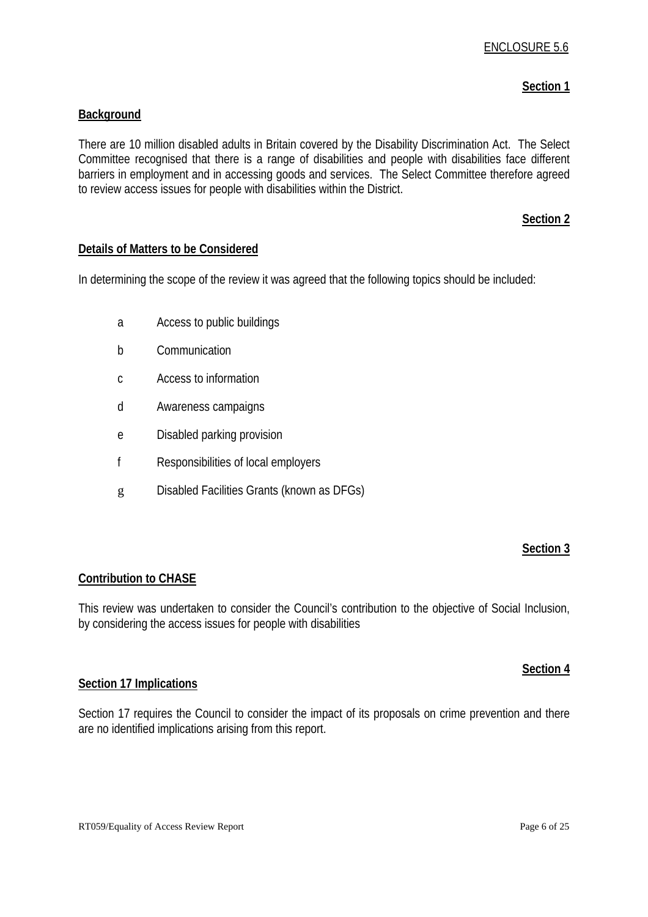#### **Section 1**

#### **Background**

There are 10 million disabled adults in Britain covered by the Disability Discrimination Act. The Select Committee recognised that there is a range of disabilities and people with disabilities face different barriers in employment and in accessing goods and services. The Select Committee therefore agreed to review access issues for people with disabilities within the District.

#### **Section 2**

#### **Details of Matters to be Considered**

In determining the scope of the review it was agreed that the following topics should be included:

- a Access to public buildings
- b Communication
- c Access to information
- d Awareness campaigns
- e Disabled parking provision
- f Responsibilities of local employers
- g Disabled Facilities Grants (known as DFGs)

#### **Section 3**

#### **Contribution to CHASE**

This review was undertaken to consider the Council's contribution to the objective of Social Inclusion, by considering the access issues for people with disabilities

#### **Section 4**

#### **Section 17 Implications**

Section 17 requires the Council to consider the impact of its proposals on crime prevention and there are no identified implications arising from this report.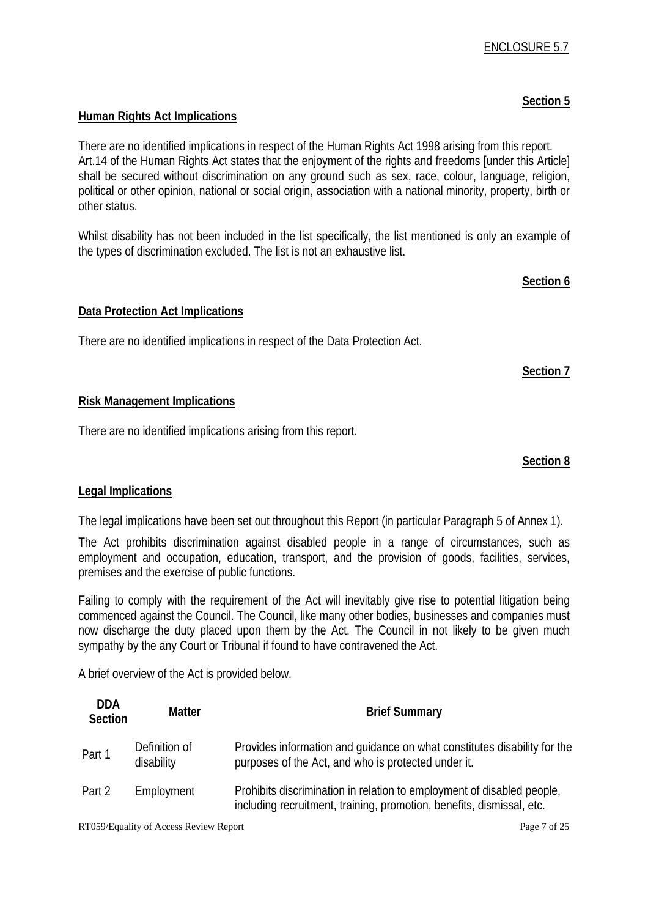# **Human Rights Act Implications**

There are no identified implications in respect of the Human Rights Act 1998 arising from this report. Art.14 of the Human Rights Act states that the enjoyment of the rights and freedoms [under this Article] shall be secured without discrimination on any ground such as sex, race, colour, language, religion, political or other opinion, national or social origin, association with a national minority, property, birth or other status.

Whilst disability has not been included in the list specifically, the list mentioned is only an example of the types of discrimination excluded. The list is not an exhaustive list.

### **Section 6**

# **Data Protection Act Implications**

There are no identified implications in respect of the Data Protection Act.

# **Section 7**

# **Risk Management Implications**

There are no identified implications arising from this report.

### **Section 8**

# **Legal Implications**

The legal implications have been set out throughout this Report (in particular Paragraph 5 of Annex 1).

The Act prohibits discrimination against disabled people in a range of circumstances, such as employment and occupation, education, transport, and the provision of goods, facilities, services, premises and the exercise of public functions.

Failing to comply with the requirement of the Act will inevitably give rise to potential litigation being commenced against the Council. The Council, like many other bodies, businesses and companies must now discharge the duty placed upon them by the Act. The Council in not likely to be given much sympathy by the any Court or Tribunal if found to have contravened the Act.

A brief overview of the Act is provided below.

| <b>DDA</b><br>Section | Matter                      | <b>Brief Summary</b>                                                                                                                            |
|-----------------------|-----------------------------|-------------------------------------------------------------------------------------------------------------------------------------------------|
| Part 1                | Definition of<br>disability | Provides information and quidance on what constitutes disability for the<br>purposes of the Act, and who is protected under it.                 |
| Part 2                | Employment                  | Prohibits discrimination in relation to employment of disabled people,<br>including recruitment, training, promotion, benefits, dismissal, etc. |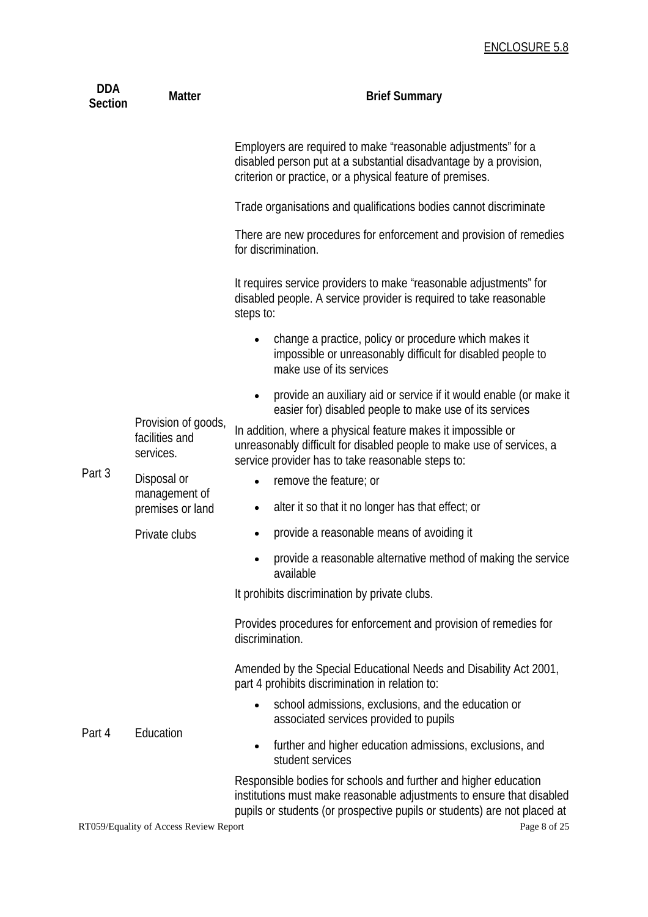| <b>DDA</b><br><b>Section</b> | <b>Matter</b>                                      | <b>Brief Summary</b>                                                                                                                                                                                                 |
|------------------------------|----------------------------------------------------|----------------------------------------------------------------------------------------------------------------------------------------------------------------------------------------------------------------------|
|                              |                                                    | Employers are required to make "reasonable adjustments" for a<br>disabled person put at a substantial disadvantage by a provision,<br>criterion or practice, or a physical feature of premises.                      |
|                              |                                                    | Trade organisations and qualifications bodies cannot discriminate                                                                                                                                                    |
|                              |                                                    | There are new procedures for enforcement and provision of remedies<br>for discrimination.                                                                                                                            |
|                              |                                                    | It requires service providers to make "reasonable adjustments" for<br>disabled people. A service provider is required to take reasonable<br>steps to:                                                                |
| Part 3                       | Provision of goods,<br>facilities and<br>services. | change a practice, policy or procedure which makes it<br>$\bullet$<br>impossible or unreasonably difficult for disabled people to<br>make use of its services                                                        |
|                              |                                                    | provide an auxiliary aid or service if it would enable (or make it<br>easier for) disabled people to make use of its services                                                                                        |
|                              |                                                    | In addition, where a physical feature makes it impossible or<br>unreasonably difficult for disabled people to make use of services, a<br>service provider has to take reasonable steps to:                           |
|                              | Disposal or<br>management of<br>premises or land   | remove the feature; or<br>$\bullet$                                                                                                                                                                                  |
|                              |                                                    | alter it so that it no longer has that effect; or<br>$\bullet$                                                                                                                                                       |
|                              | Private clubs                                      | provide a reasonable means of avoiding it<br>$\bullet$                                                                                                                                                               |
|                              |                                                    | provide a reasonable alternative method of making the service<br>$\bullet$<br>available                                                                                                                              |
|                              |                                                    | It prohibits discrimination by private clubs.                                                                                                                                                                        |
| Part 4                       | Education                                          | Provides procedures for enforcement and provision of remedies for<br>discrimination.                                                                                                                                 |
|                              |                                                    | Amended by the Special Educational Needs and Disability Act 2001,<br>part 4 prohibits discrimination in relation to:                                                                                                 |
|                              |                                                    | school admissions, exclusions, and the education or<br>$\bullet$<br>associated services provided to pupils                                                                                                           |
|                              |                                                    | further and higher education admissions, exclusions, and<br>$\bullet$<br>student services                                                                                                                            |
|                              |                                                    | Responsible bodies for schools and further and higher education<br>institutions must make reasonable adjustments to ensure that disabled<br>pupils or students (or prospective pupils or students) are not placed at |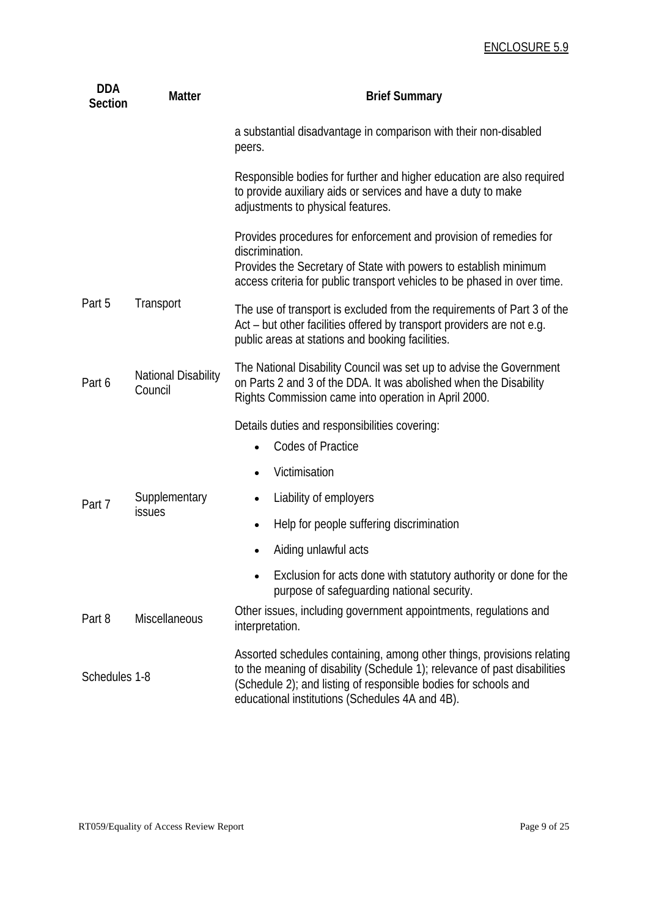| <b>DDA</b><br><b>Section</b> | <b>Matter</b>                         | <b>Brief Summary</b>                                                                                                                                                                                                                                                      |  |
|------------------------------|---------------------------------------|---------------------------------------------------------------------------------------------------------------------------------------------------------------------------------------------------------------------------------------------------------------------------|--|
|                              |                                       | a substantial disadvantage in comparison with their non-disabled<br>peers.                                                                                                                                                                                                |  |
|                              |                                       | Responsible bodies for further and higher education are also required<br>to provide auxiliary aids or services and have a duty to make<br>adjustments to physical features.                                                                                               |  |
|                              |                                       | Provides procedures for enforcement and provision of remedies for<br>discrimination.<br>Provides the Secretary of State with powers to establish minimum<br>access criteria for public transport vehicles to be phased in over time.                                      |  |
| Part 5                       | Transport                             | The use of transport is excluded from the requirements of Part 3 of the<br>Act – but other facilities offered by transport providers are not e.g.<br>public areas at stations and booking facilities.                                                                     |  |
| Part 6                       | <b>National Disability</b><br>Council | The National Disability Council was set up to advise the Government<br>on Parts 2 and 3 of the DDA. It was abolished when the Disability<br>Rights Commission came into operation in April 2000.                                                                          |  |
|                              | Supplementary<br>issues               | Details duties and responsibilities covering:                                                                                                                                                                                                                             |  |
|                              |                                       | <b>Codes of Practice</b>                                                                                                                                                                                                                                                  |  |
|                              |                                       | Victimisation                                                                                                                                                                                                                                                             |  |
| Part 7                       |                                       | Liability of employers                                                                                                                                                                                                                                                    |  |
|                              |                                       | Help for people suffering discrimination<br>$\bullet$                                                                                                                                                                                                                     |  |
|                              |                                       | Aiding unlawful acts                                                                                                                                                                                                                                                      |  |
|                              |                                       | Exclusion for acts done with statutory authority or done for the<br>purpose of safequarding national security.                                                                                                                                                            |  |
| Part 8                       | <b>Miscellaneous</b>                  | Other issues, including government appointments, regulations and<br>interpretation.                                                                                                                                                                                       |  |
| Schedules 1-8                |                                       | Assorted schedules containing, among other things, provisions relating<br>to the meaning of disability (Schedule 1); relevance of past disabilities<br>(Schedule 2); and listing of responsible bodies for schools and<br>educational institutions (Schedules 4A and 4B). |  |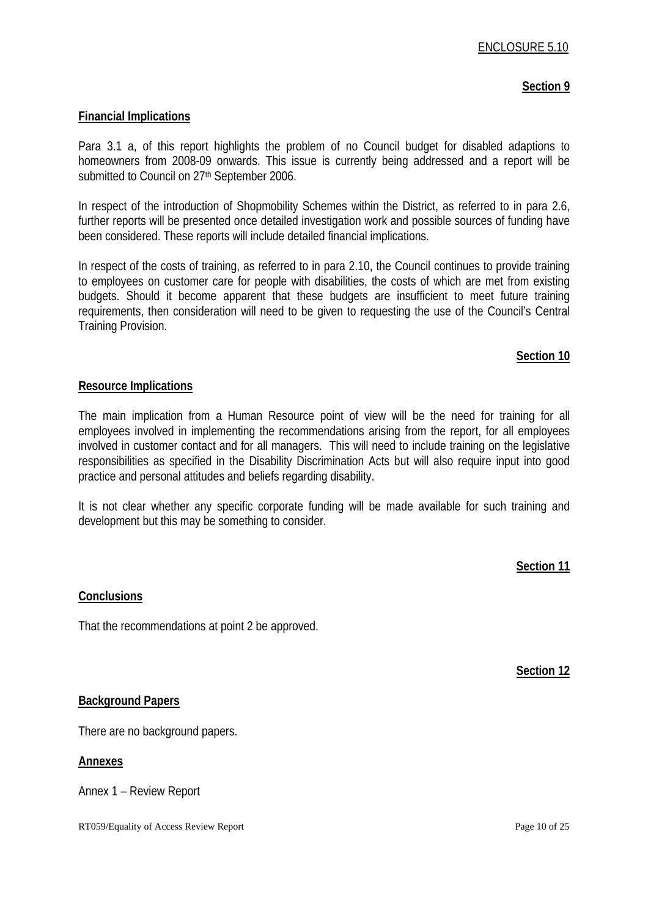#### **Section 9**

#### **Financial Implications**

Para 3.1 a, of this report highlights the problem of no Council budget for disabled adaptions to homeowners from 2008-09 onwards. This issue is currently being addressed and a report will be submitted to Council on 27<sup>th</sup> September 2006.

In respect of the introduction of Shopmobility Schemes within the District, as referred to in para 2.6, further reports will be presented once detailed investigation work and possible sources of funding have been considered. These reports will include detailed financial implications.

In respect of the costs of training, as referred to in para 2.10, the Council continues to provide training to employees on customer care for people with disabilities, the costs of which are met from existing budgets. Should it become apparent that these budgets are insufficient to meet future training requirements, then consideration will need to be given to requesting the use of the Council's Central Training Provision.

#### **Section 10**

#### **Resource Implications**

The main implication from a Human Resource point of view will be the need for training for all employees involved in implementing the recommendations arising from the report, for all employees involved in customer contact and for all managers. This will need to include training on the legislative responsibilities as specified in the Disability Discrimination Acts but will also require input into good practice and personal attitudes and beliefs regarding disability.

It is not clear whether any specific corporate funding will be made available for such training and development but this may be something to consider.

**Section 11**

#### **Conclusions**

That the recommendations at point 2 be approved.

**Section 12**

#### **Background Papers**

There are no background papers.

#### **Annexes**

Annex 1 – Review Report

RT059/Equality of Access Review Report **Page 10** of 25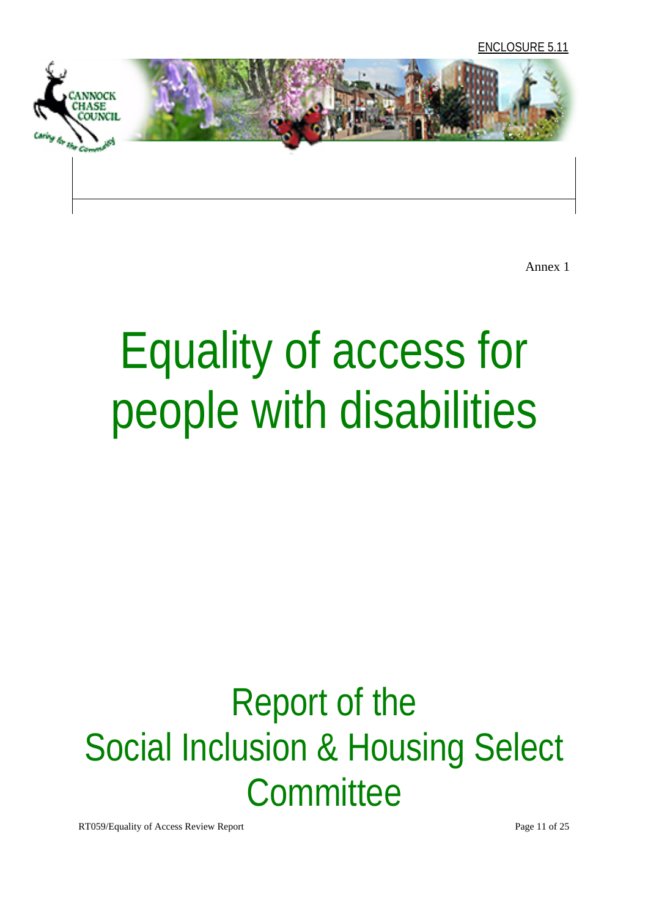

Annex 1

# Equality of access for people with disabilities

# Report of the Social Inclusion & Housing Select **Committee**

RT059/Equality of Access Review Report **Page 11** of 25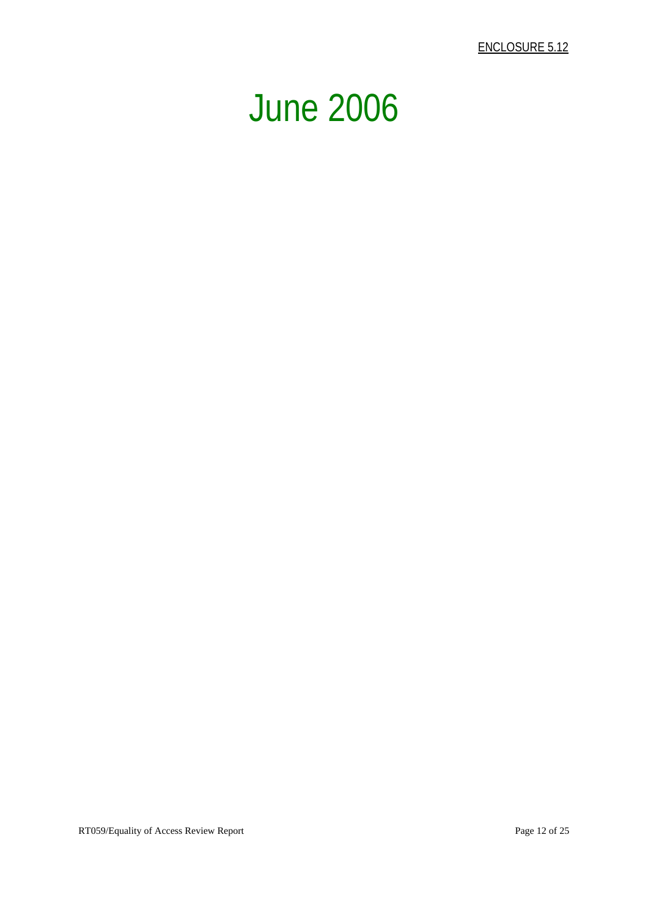ENCLOSURE 5.12

# June 2006

RT059/Equality of Access Review Report Page 12 of 25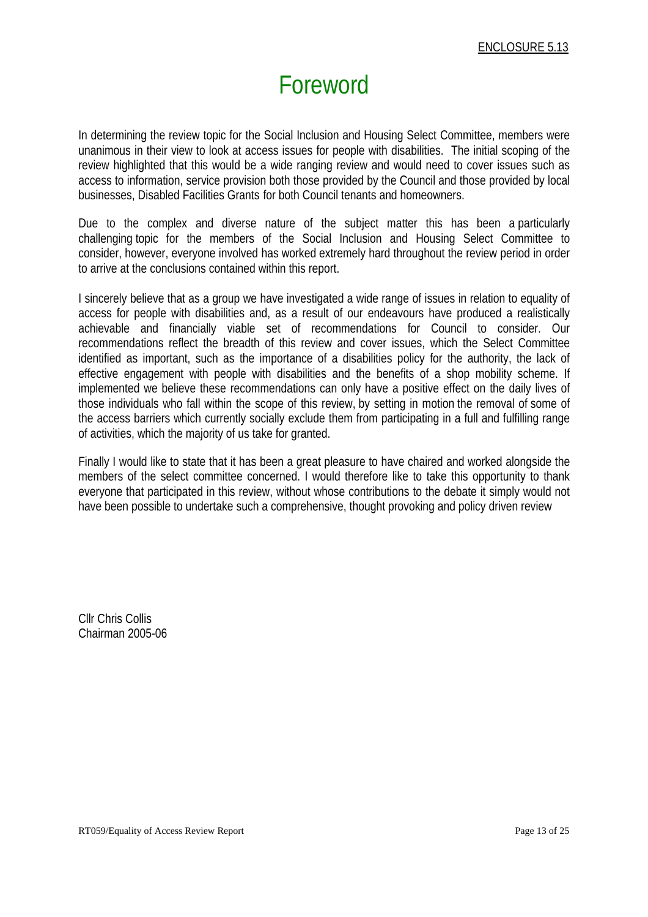# Foreword

In determining the review topic for the Social Inclusion and Housing Select Committee, members were unanimous in their view to look at access issues for people with disabilities. The initial scoping of the review highlighted that this would be a wide ranging review and would need to cover issues such as access to information, service provision both those provided by the Council and those provided by local businesses, Disabled Facilities Grants for both Council tenants and homeowners.

Due to the complex and diverse nature of the subject matter this has been a particularly challenging topic for the members of the Social Inclusion and Housing Select Committee to consider, however, everyone involved has worked extremely hard throughout the review period in order to arrive at the conclusions contained within this report.

I sincerely believe that as a group we have investigated a wide range of issues in relation to equality of access for people with disabilities and, as a result of our endeavours have produced a realistically achievable and financially viable set of recommendations for Council to consider. Our recommendations reflect the breadth of this review and cover issues, which the Select Committee identified as important, such as the importance of a disabilities policy for the authority, the lack of effective engagement with people with disabilities and the benefits of a shop mobility scheme. If implemented we believe these recommendations can only have a positive effect on the daily lives of those individuals who fall within the scope of this review, by setting in motion the removal of some of the access barriers which currently socially exclude them from participating in a full and fulfilling range of activities, which the majority of us take for granted.

Finally I would like to state that it has been a great pleasure to have chaired and worked alongside the members of the select committee concerned. I would therefore like to take this opportunity to thank everyone that participated in this review, without whose contributions to the debate it simply would not have been possible to undertake such a comprehensive, thought provoking and policy driven review

Cllr Chris Collis Chairman 2005-06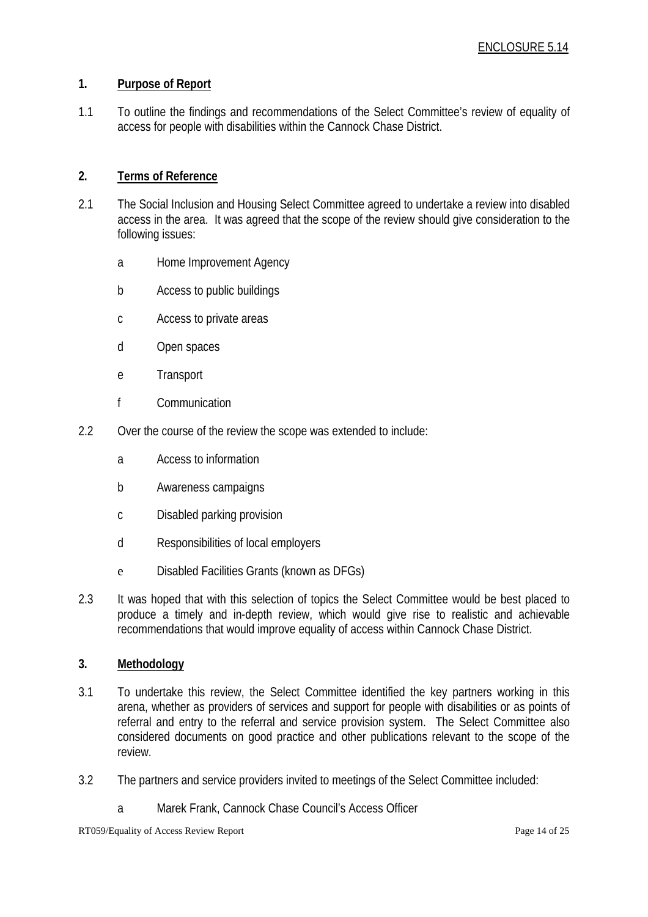#### **1. Purpose of Report**

1.1 To outline the findings and recommendations of the Select Committee's review of equality of access for people with disabilities within the Cannock Chase District.

#### **2. Terms of Reference**

- 2.1 The Social Inclusion and Housing Select Committee agreed to undertake a review into disabled access in the area. It was agreed that the scope of the review should give consideration to the following issues:
	- a Home Improvement Agency
	- b Access to public buildings
	- c Access to private areas
	- d Open spaces
	- e Transport
	- f Communication
- 2.2 Over the course of the review the scope was extended to include:
	- a Access to information
	- b Awareness campaigns
	- c Disabled parking provision
	- d Responsibilities of local employers
	- e Disabled Facilities Grants (known as DFGs)
- 2.3 It was hoped that with this selection of topics the Select Committee would be best placed to produce a timely and in-depth review, which would give rise to realistic and achievable recommendations that would improve equality of access within Cannock Chase District.

#### **3. Methodology**

- 3.1 To undertake this review, the Select Committee identified the key partners working in this arena, whether as providers of services and support for people with disabilities or as points of referral and entry to the referral and service provision system. The Select Committee also considered documents on good practice and other publications relevant to the scope of the review.
- 3.2 The partners and service providers invited to meetings of the Select Committee included:
	- a Marek Frank, Cannock Chase Council's Access Officer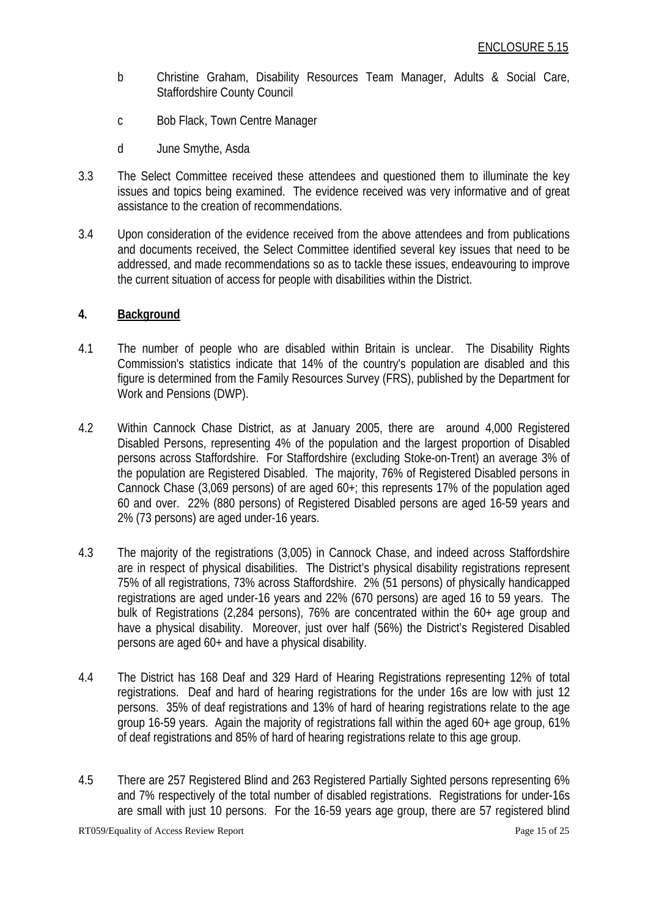- b Christine Graham, Disability Resources Team Manager, Adults & Social Care, Staffordshire County Council
- c Bob Flack, Town Centre Manager
- d June Smythe, Asda
- 3.3 The Select Committee received these attendees and questioned them to illuminate the key issues and topics being examined. The evidence received was very informative and of great assistance to the creation of recommendations.
- 3.4 Upon consideration of the evidence received from the above attendees and from publications and documents received, the Select Committee identified several key issues that need to be addressed, and made recommendations so as to tackle these issues, endeavouring to improve the current situation of access for people with disabilities within the District.

#### **4. Background**

- 4.1 The number of people who are disabled within Britain is unclear. The Disability Rights Commission's statistics indicate that 14% of the country's population are disabled and this figure is determined from the Family Resources Survey (FRS), published by the Department for Work and Pensions (DWP).
- 4.2 Within Cannock Chase District, as at January 2005, there are around 4,000 Registered Disabled Persons, representing 4% of the population and the largest proportion of Disabled persons across Staffordshire. For Staffordshire (excluding Stoke-on-Trent) an average 3% of the population are Registered Disabled. The majority, 76% of Registered Disabled persons in Cannock Chase (3,069 persons) of are aged 60+; this represents 17% of the population aged 60 and over. 22% (880 persons) of Registered Disabled persons are aged 16-59 years and 2% (73 persons) are aged under-16 years.
- 4.3 The majority of the registrations (3,005) in Cannock Chase, and indeed across Staffordshire are in respect of physical disabilities. The District's physical disability registrations represent 75% of all registrations, 73% across Staffordshire. 2% (51 persons) of physically handicapped registrations are aged under-16 years and 22% (670 persons) are aged 16 to 59 years. The bulk of Registrations (2,284 persons), 76% are concentrated within the 60+ age group and have a physical disability. Moreover, just over half (56%) the District's Registered Disabled persons are aged 60+ and have a physical disability.
- 4.4 The District has 168 Deaf and 329 Hard of Hearing Registrations representing 12% of total registrations. Deaf and hard of hearing registrations for the under 16s are low with just 12 persons. 35% of deaf registrations and 13% of hard of hearing registrations relate to the age group 16-59 years. Again the majority of registrations fall within the aged 60+ age group, 61% of deaf registrations and 85% of hard of hearing registrations relate to this age group.
- 4.5 There are 257 Registered Blind and 263 Registered Partially Sighted persons representing 6% and 7% respectively of the total number of disabled registrations. Registrations for under-16s are small with just 10 persons. For the 16-59 years age group, there are 57 registered blind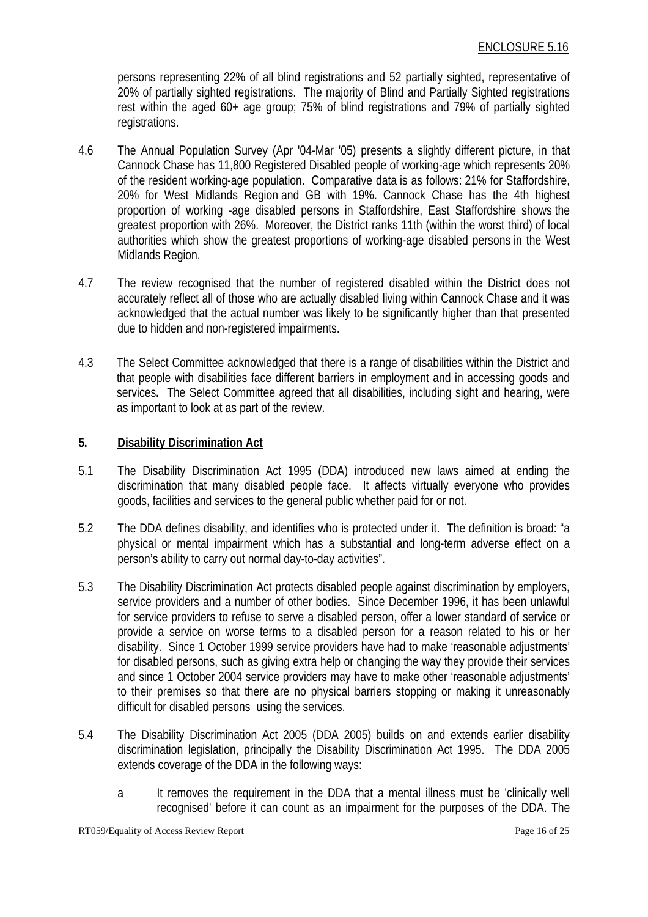persons representing 22% of all blind registrations and 52 partially sighted, representative of 20% of partially sighted registrations. The majority of Blind and Partially Sighted registrations rest within the aged 60+ age group; 75% of blind registrations and 79% of partially sighted registrations.

- 4.6 The Annual Population Survey (Apr '04-Mar '05) presents a slightly different picture, in that Cannock Chase has 11,800 Registered Disabled people of working-age which represents 20% of the resident working-age population. Comparative data is as follows: 21% for Staffordshire, 20% for West Midlands Region and GB with 19%. Cannock Chase has the 4th highest proportion of working -age disabled persons in Staffordshire, East Staffordshire shows the greatest proportion with 26%. Moreover, the District ranks 11th (within the worst third) of local authorities which show the greatest proportions of working-age disabled persons in the West Midlands Region.
- 4.7 The review recognised that the number of registered disabled within the District does not accurately reflect all of those who are actually disabled living within Cannock Chase and it was acknowledged that the actual number was likely to be significantly higher than that presented due to hidden and non-registered impairments.
- 4.3 The Select Committee acknowledged that there is a range of disabilities within the District and that people with disabilities face different barriers in employment and in accessing goods and services**.** The Select Committee agreed that all disabilities, including sight and hearing, were as important to look at as part of the review.

#### **5. Disability Discrimination Act**

- 5.1 The Disability Discrimination Act 1995 (DDA) introduced new laws aimed at ending the discrimination that many disabled people face. It affects virtually everyone who provides goods, facilities and services to the general public whether paid for or not.
- 5.2 The DDA defines disability, and identifies who is protected under it. The definition is broad: "a physical or mental impairment which has a substantial and long-term adverse effect on a person's ability to carry out normal day-to-day activities".
- 5.3 The Disability Discrimination Act protects disabled people against discrimination by employers, service providers and a number of other bodies. Since December 1996, it has been unlawful for service providers to refuse to serve a disabled person, offer a lower standard of service or provide a service on worse terms to a disabled person for a reason related to his or her disability. Since 1 October 1999 service providers have had to make 'reasonable adjustments' for disabled persons, such as giving extra help or changing the way they provide their services and since 1 October 2004 service providers may have to make other 'reasonable adjustments' to their premises so that there are no physical barriers stopping or making it unreasonably difficult for disabled persons using the services.
- 5.4 The Disability Discrimination Act 2005 (DDA 2005) builds on and extends earlier disability discrimination legislation, principally the Disability Discrimination Act 1995. The DDA 2005 extends coverage of the DDA in the following ways:
	- a It removes the requirement in the DDA that a mental illness must be 'clinically well recognised' before it can count as an impairment for the purposes of the DDA. The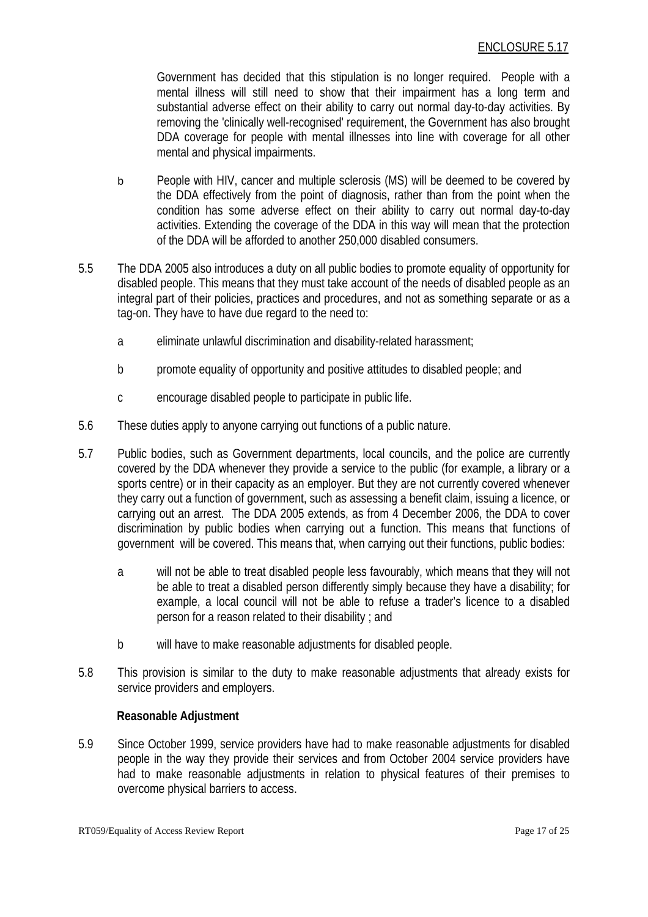Government has decided that this stipulation is no longer required. People with a mental illness will still need to show that their impairment has a long term and substantial adverse effect on their ability to carry out normal day-to-day activities. By removing the 'clinically well-recognised' requirement, the Government has also brought DDA coverage for people with mental illnesses into line with coverage for all other mental and physical impairments.

- b People with HIV, cancer and multiple sclerosis (MS) will be deemed to be covered by the DDA effectively from the point of diagnosis, rather than from the point when the condition has some adverse effect on their ability to carry out normal day-to-day activities. Extending the coverage of the DDA in this way will mean that the protection of the DDA will be afforded to another 250,000 disabled consumers.
- 5.5 The DDA 2005 also introduces a duty on all public bodies to promote equality of opportunity for disabled people. This means that they must take account of the needs of disabled people as an integral part of their policies, practices and procedures, and not as something separate or as a tag-on. They have to have due regard to the need to:
	- a eliminate unlawful discrimination and disability-related harassment;
	- b promote equality of opportunity and positive attitudes to disabled people; and
	- c encourage disabled people to participate in public life.
- 5.6 These duties apply to anyone carrying out functions of a public nature.
- 5.7 Public bodies, such as Government departments, local councils, and the police are currently covered by the DDA whenever they provide a service to the public (for example, a library or a sports centre) or in their capacity as an employer. But they are not currently covered whenever they carry out a function of government, such as assessing a benefit claim, issuing a licence, or carrying out an arrest. The DDA 2005 extends, as from 4 December 2006, the DDA to cover discrimination by public bodies when carrying out a function. This means that functions of government will be covered. This means that, when carrying out their functions, public bodies:
	- a will not be able to treat disabled people less favourably, which means that they will not be able to treat a disabled person differently simply because they have a disability; for example, a local council will not be able to refuse a trader's licence to a disabled person for a reason related to their disability ; and
	- b will have to make reasonable adjustments for disabled people.
- 5.8 This provision is similar to the duty to make reasonable adjustments that already exists for service providers and employers.

#### **Reasonable Adjustment**

5.9 Since October 1999, service providers have had to make reasonable adjustments for disabled people in the way they provide their services and from October 2004 service providers have had to make reasonable adjustments in relation to physical features of their premises to overcome physical barriers to access.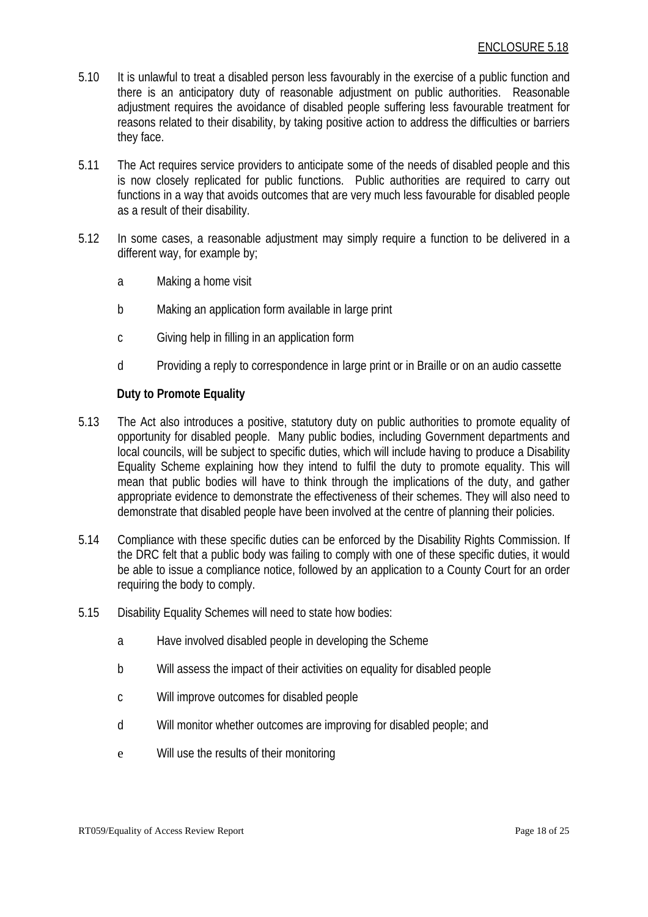- 5.10 It is unlawful to treat a disabled person less favourably in the exercise of a public function and there is an anticipatory duty of reasonable adjustment on public authorities. Reasonable adjustment requires the avoidance of disabled people suffering less favourable treatment for reasons related to their disability, by taking positive action to address the difficulties or barriers they face.
- 5.11 The Act requires service providers to anticipate some of the needs of disabled people and this is now closely replicated for public functions. Public authorities are required to carry out functions in a way that avoids outcomes that are very much less favourable for disabled people as a result of their disability.
- 5.12 In some cases, a reasonable adjustment may simply require a function to be delivered in a different way, for example by;
	- a Making a home visit
	- b Making an application form available in large print
	- c Giving help in filling in an application form
	- d Providing a reply to correspondence in large print or in Braille or on an audio cassette

#### **Duty to Promote Equality**

- 5.13 The Act also introduces a positive, statutory duty on public authorities to promote equality of opportunity for disabled people. Many public bodies, including Government departments and local councils, will be subject to specific duties, which will include having to produce a Disability Equality Scheme explaining how they intend to fulfil the duty to promote equality. This will mean that public bodies will have to think through the implications of the duty, and gather appropriate evidence to demonstrate the effectiveness of their schemes. They will also need to demonstrate that disabled people have been involved at the centre of planning their policies.
- 5.14 Compliance with these specific duties can be enforced by the Disability Rights Commission. If the DRC felt that a public body was failing to comply with one of these specific duties, it would be able to issue a compliance notice, followed by an application to a County Court for an order requiring the body to comply.
- 5.15 Disability Equality Schemes will need to state how bodies:
	- a Have involved disabled people in developing the Scheme
	- b Will assess the impact of their activities on equality for disabled people
	- c Will improve outcomes for disabled people
	- d Will monitor whether outcomes are improving for disabled people; and
	- e Will use the results of their monitoring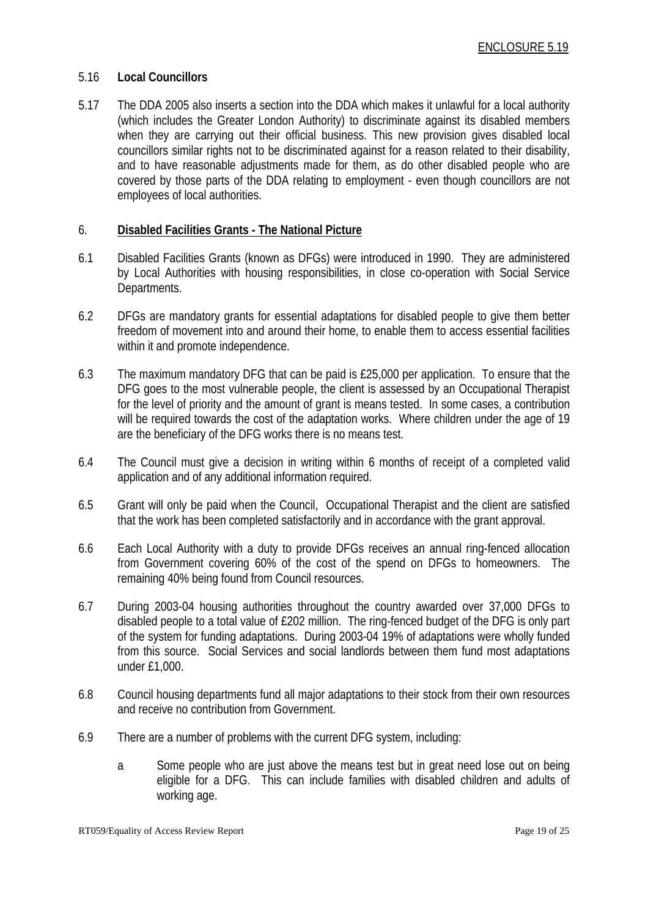#### 5.16 **Local Councillors**

5.17 The DDA 2005 also inserts a section into the DDA which makes it unlawful for a local authority (which includes the Greater London Authority) to discriminate against its disabled members when they are carrying out their official business. This new provision gives disabled local councillors similar rights not to be discriminated against for a reason related to their disability, and to have reasonable adjustments made for them, as do other disabled people who are covered by those parts of the DDA relating to employment - even though councillors are not employees of local authorities.

#### 6. **Disabled Facilities Grants - The National Picture**

- 6.1 Disabled Facilities Grants (known as DFGs) were introduced in 1990. They are administered by Local Authorities with housing responsibilities, in close co-operation with Social Service Departments.
- 6.2 DFGs are mandatory grants for essential adaptations for disabled people to give them better freedom of movement into and around their home, to enable them to access essential facilities within it and promote independence.
- 6.3 The maximum mandatory DFG that can be paid is £25,000 per application. To ensure that the DFG goes to the most vulnerable people, the client is assessed by an Occupational Therapist for the level of priority and the amount of grant is means tested. In some cases, a contribution will be required towards the cost of the adaptation works. Where children under the age of 19 are the beneficiary of the DFG works there is no means test.
- 6.4 The Council must give a decision in writing within 6 months of receipt of a completed valid application and of any additional information required.
- 6.5 Grant will only be paid when the Council, Occupational Therapist and the client are satisfied that the work has been completed satisfactorily and in accordance with the grant approval.
- 6.6 Each Local Authority with a duty to provide DFGs receives an annual ring-fenced allocation from Government covering 60% of the cost of the spend on DFGs to homeowners. The remaining 40% being found from Council resources.
- 6.7 During 2003-04 housing authorities throughout the country awarded over 37,000 DFGs to disabled people to a total value of £202 million. The ring-fenced budget of the DFG is only part of the system for funding adaptations. During 2003-04 19% of adaptations were wholly funded from this source. Social Services and social landlords between them fund most adaptations under £1,000.
- 6.8 Council housing departments fund all major adaptations to their stock from their own resources and receive no contribution from Government.
- 6.9 There are a number of problems with the current DFG system, including:
	- a Some people who are just above the means test but in great need lose out on being eligible for a DFG. This can include families with disabled children and adults of working age.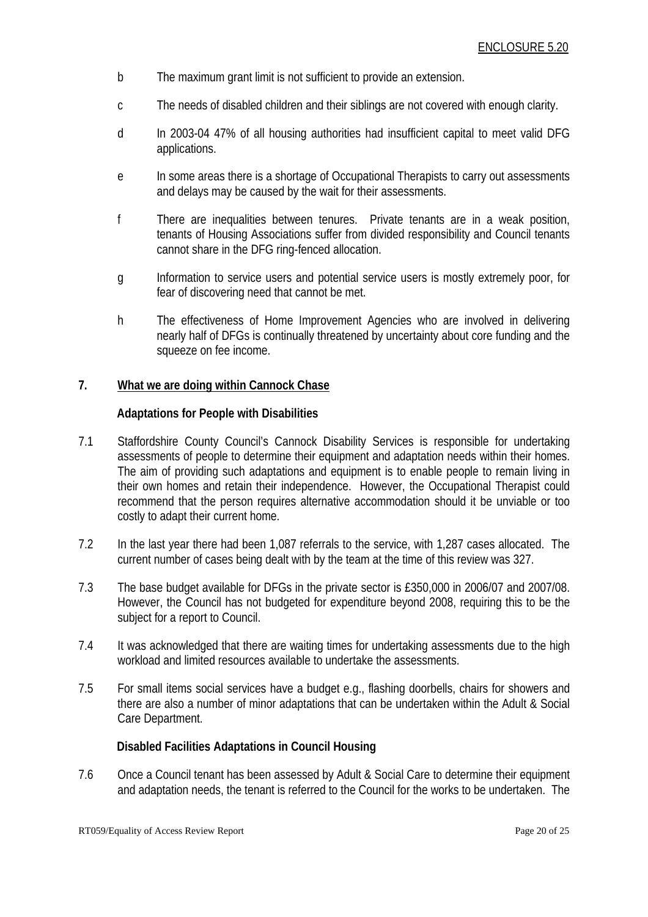- b The maximum grant limit is not sufficient to provide an extension.
- c The needs of disabled children and their siblings are not covered with enough clarity.
- d In 2003-04 47% of all housing authorities had insufficient capital to meet valid DFG applications.
- e In some areas there is a shortage of Occupational Therapists to carry out assessments and delays may be caused by the wait for their assessments.
- f There are inequalities between tenures. Private tenants are in a weak position, tenants of Housing Associations suffer from divided responsibility and Council tenants cannot share in the DFG ring-fenced allocation.
- g Information to service users and potential service users is mostly extremely poor, for fear of discovering need that cannot be met.
- h The effectiveness of Home Improvement Agencies who are involved in delivering nearly half of DFGs is continually threatened by uncertainty about core funding and the squeeze on fee income.

#### **7. What we are doing within Cannock Chase**

#### **Adaptations for People with Disabilities**

- 7.1 Staffordshire County Council's Cannock Disability Services is responsible for undertaking assessments of people to determine their equipment and adaptation needs within their homes. The aim of providing such adaptations and equipment is to enable people to remain living in their own homes and retain their independence. However, the Occupational Therapist could recommend that the person requires alternative accommodation should it be unviable or too costly to adapt their current home.
- 7.2 In the last year there had been 1,087 referrals to the service, with 1,287 cases allocated. The current number of cases being dealt with by the team at the time of this review was 327.
- 7.3 The base budget available for DFGs in the private sector is £350,000 in 2006/07 and 2007/08. However, the Council has not budgeted for expenditure beyond 2008, requiring this to be the subject for a report to Council.
- 7.4 It was acknowledged that there are waiting times for undertaking assessments due to the high workload and limited resources available to undertake the assessments.
- 7.5 For small items social services have a budget e.g., flashing doorbells, chairs for showers and there are also a number of minor adaptations that can be undertaken within the Adult & Social Care Department.

#### **Disabled Facilities Adaptations in Council Housing**

7.6 Once a Council tenant has been assessed by Adult & Social Care to determine their equipment and adaptation needs, the tenant is referred to the Council for the works to be undertaken. The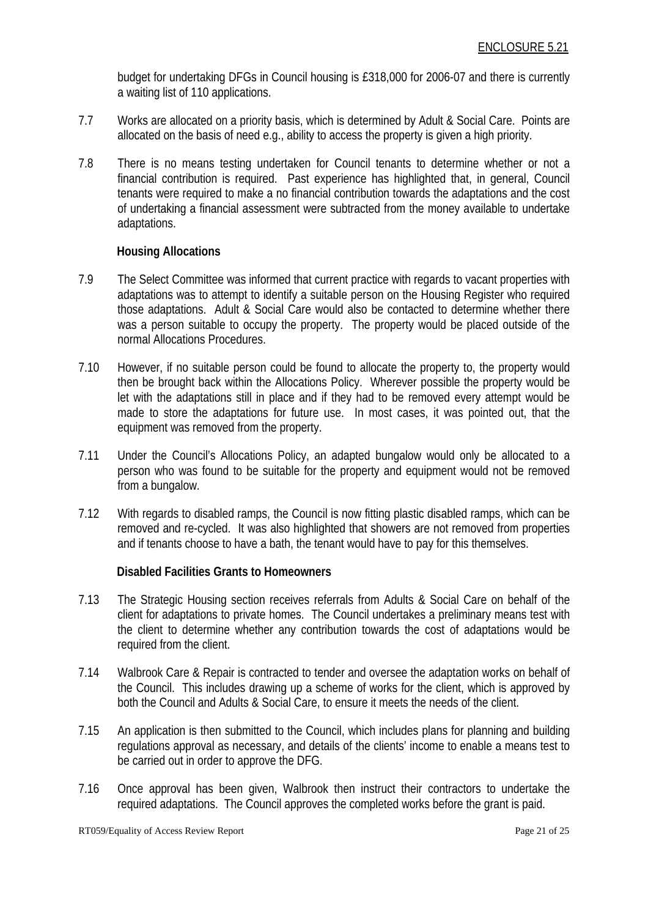budget for undertaking DFGs in Council housing is £318,000 for 2006-07 and there is currently a waiting list of 110 applications.

- 7.7 Works are allocated on a priority basis, which is determined by Adult & Social Care. Points are allocated on the basis of need e.g., ability to access the property is given a high priority.
- 7.8 There is no means testing undertaken for Council tenants to determine whether or not a financial contribution is required. Past experience has highlighted that, in general, Council tenants were required to make a no financial contribution towards the adaptations and the cost of undertaking a financial assessment were subtracted from the money available to undertake adaptations.

#### **Housing Allocations**

- 7.9 The Select Committee was informed that current practice with regards to vacant properties with adaptations was to attempt to identify a suitable person on the Housing Register who required those adaptations. Adult & Social Care would also be contacted to determine whether there was a person suitable to occupy the property. The property would be placed outside of the normal Allocations Procedures.
- 7.10 However, if no suitable person could be found to allocate the property to, the property would then be brought back within the Allocations Policy. Wherever possible the property would be let with the adaptations still in place and if they had to be removed every attempt would be made to store the adaptations for future use. In most cases, it was pointed out, that the equipment was removed from the property.
- 7.11 Under the Council's Allocations Policy, an adapted bungalow would only be allocated to a person who was found to be suitable for the property and equipment would not be removed from a bungalow.
- 7.12 With regards to disabled ramps, the Council is now fitting plastic disabled ramps, which can be removed and re-cycled. It was also highlighted that showers are not removed from properties and if tenants choose to have a bath, the tenant would have to pay for this themselves.

#### **Disabled Facilities Grants to Homeowners**

- 7.13 The Strategic Housing section receives referrals from Adults & Social Care on behalf of the client for adaptations to private homes. The Council undertakes a preliminary means test with the client to determine whether any contribution towards the cost of adaptations would be required from the client.
- 7.14 Walbrook Care & Repair is contracted to tender and oversee the adaptation works on behalf of the Council. This includes drawing up a scheme of works for the client, which is approved by both the Council and Adults & Social Care, to ensure it meets the needs of the client.
- 7.15 An application is then submitted to the Council, which includes plans for planning and building regulations approval as necessary, and details of the clients' income to enable a means test to be carried out in order to approve the DFG.
- 7.16 Once approval has been given, Walbrook then instruct their contractors to undertake the required adaptations. The Council approves the completed works before the grant is paid.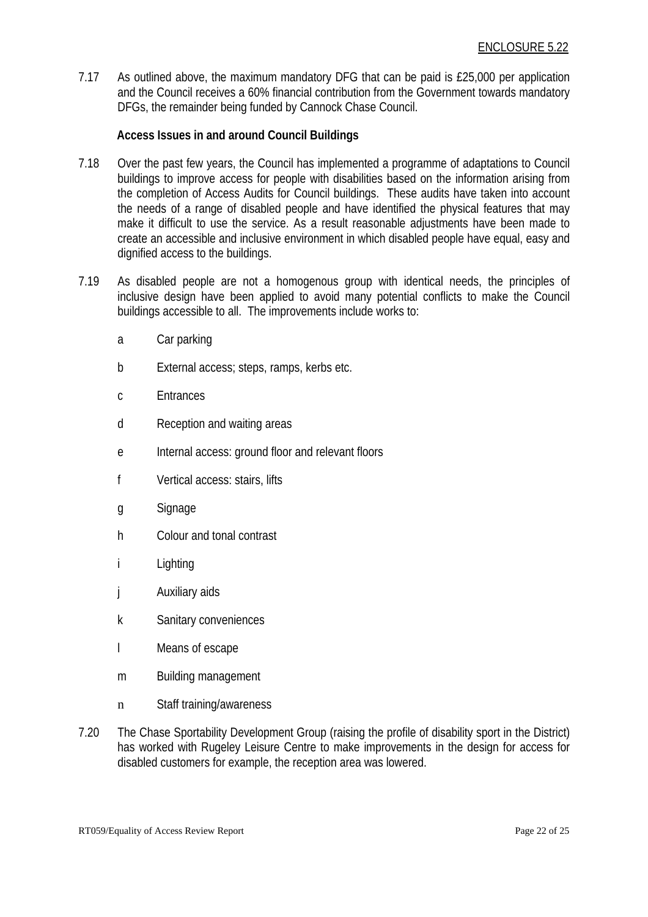7.17 As outlined above, the maximum mandatory DFG that can be paid is £25,000 per application and the Council receives a 60% financial contribution from the Government towards mandatory DFGs, the remainder being funded by Cannock Chase Council.

#### **Access Issues in and around Council Buildings**

- 7.18 Over the past few years, the Council has implemented a programme of adaptations to Council buildings to improve access for people with disabilities based on the information arising from the completion of Access Audits for Council buildings. These audits have taken into account the needs of a range of disabled people and have identified the physical features that may make it difficult to use the service. As a result reasonable adjustments have been made to create an accessible and inclusive environment in which disabled people have equal, easy and dignified access to the buildings.
- 7.19 As disabled people are not a homogenous group with identical needs, the principles of inclusive design have been applied to avoid many potential conflicts to make the Council buildings accessible to all. The improvements include works to:
	- a Car parking
	- b External access; steps, ramps, kerbs etc.
	- c Entrances
	- d Reception and waiting areas
	- e Internal access: ground floor and relevant floors
	- f Vertical access: stairs, lifts
	- g Signage
	- h Colour and tonal contrast
	- i Lighting
	- j Auxiliary aids
	- k Sanitary conveniences
	- l Means of escape
	- m Building management
	- n Staff training/awareness
- 7.20 The Chase Sportability Development Group (raising the profile of disability sport in the District) has worked with Rugeley Leisure Centre to make improvements in the design for access for disabled customers for example, the reception area was lowered.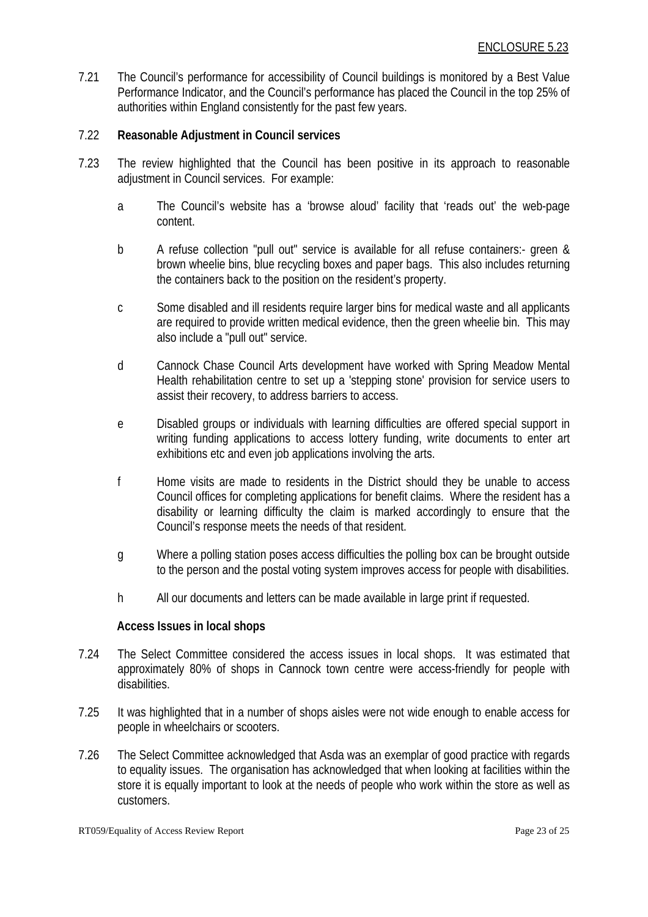7.21 The Council's performance for accessibility of Council buildings is monitored by a Best Value Performance Indicator, and the Council's performance has placed the Council in the top 25% of authorities within England consistently for the past few years.

#### 7.22 **Reasonable Adjustment in Council services**

- 7.23 The review highlighted that the Council has been positive in its approach to reasonable adjustment in Council services. For example:
	- a The Council's website has a 'browse aloud' facility that 'reads out' the web-page content.
	- b A refuse collection "pull out" service is available for all refuse containers:- green & brown wheelie bins, blue recycling boxes and paper bags. This also includes returning the containers back to the position on the resident's property.
	- c Some disabled and ill residents require larger bins for medical waste and all applicants are required to provide written medical evidence, then the green wheelie bin. This may also include a "pull out" service.
	- d Cannock Chase Council Arts development have worked with Spring Meadow Mental Health rehabilitation centre to set up a 'stepping stone' provision for service users to assist their recovery, to address barriers to access.
	- e Disabled groups or individuals with learning difficulties are offered special support in writing funding applications to access lottery funding, write documents to enter art exhibitions etc and even job applications involving the arts.
	- f Home visits are made to residents in the District should they be unable to access Council offices for completing applications for benefit claims. Where the resident has a disability or learning difficulty the claim is marked accordingly to ensure that the Council's response meets the needs of that resident.
	- g Where a polling station poses access difficulties the polling box can be brought outside to the person and the postal voting system improves access for people with disabilities.
	- h All our documents and letters can be made available in large print if requested.

#### **Access Issues in local shops**

- 7.24 The Select Committee considered the access issues in local shops. It was estimated that approximately 80% of shops in Cannock town centre were access-friendly for people with disabilities.
- 7.25 It was highlighted that in a number of shops aisles were not wide enough to enable access for people in wheelchairs or scooters.
- 7.26 The Select Committee acknowledged that Asda was an exemplar of good practice with regards to equality issues. The organisation has acknowledged that when looking at facilities within the store it is equally important to look at the needs of people who work within the store as well as customers.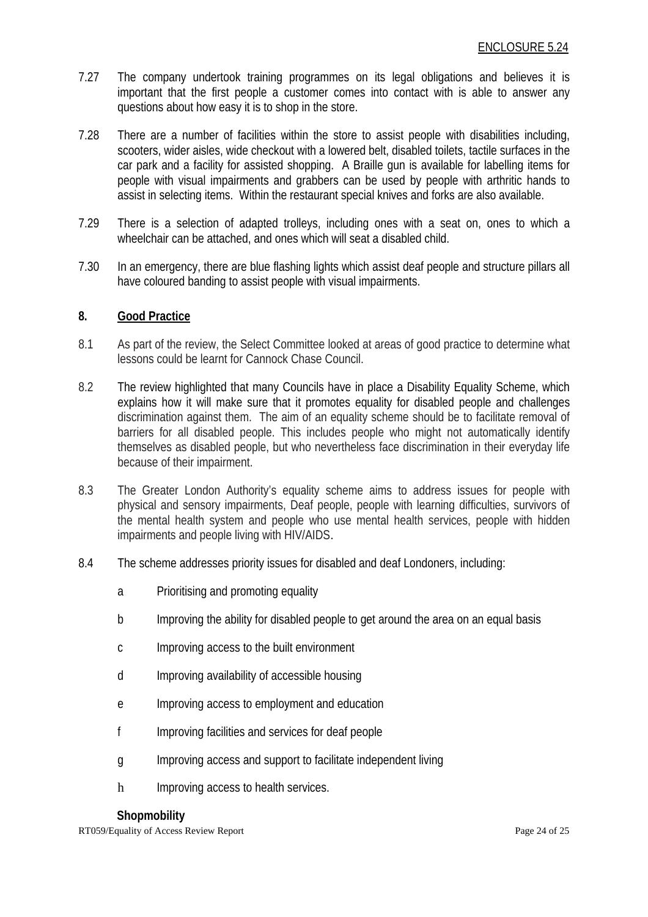- 7.27 The company undertook training programmes on its legal obligations and believes it is important that the first people a customer comes into contact with is able to answer any questions about how easy it is to shop in the store.
- 7.28 There are a number of facilities within the store to assist people with disabilities including, scooters, wider aisles, wide checkout with a lowered belt, disabled toilets, tactile surfaces in the car park and a facility for assisted shopping. A Braille gun is available for labelling items for people with visual impairments and grabbers can be used by people with arthritic hands to assist in selecting items. Within the restaurant special knives and forks are also available.
- 7.29 There is a selection of adapted trolleys, including ones with a seat on, ones to which a wheelchair can be attached, and ones which will seat a disabled child.
- 7.30 In an emergency, there are blue flashing lights which assist deaf people and structure pillars all have coloured banding to assist people with visual impairments.

#### **8. Good Practice**

- 8.1 As part of the review, the Select Committee looked at areas of good practice to determine what lessons could be learnt for Cannock Chase Council.
- 8.2 The review highlighted that many Councils have in place a Disability Equality Scheme, which explains how it will make sure that it promotes equality for disabled people and challenges discrimination against them. The aim of an equality scheme should be to facilitate removal of barriers for all disabled people. This includes people who might not automatically identify themselves as disabled people, but who nevertheless face discrimination in their everyday life because of their impairment.
- 8.3 The Greater London Authority's equality scheme aims to address issues for people with physical and sensory impairments, Deaf people, people with learning difficulties, survivors of the mental health system and people who use mental health services, people with hidden impairments and people living with HIV/AIDS.
- 8.4 The scheme addresses priority issues for disabled and deaf Londoners, including:
	- a Prioritising and promoting equality
	- b Improving the ability for disabled people to get around the area on an equal basis
	- c Improving access to the built environment
	- d Improving availability of accessible housing
	- e Improving access to employment and education
	- f Improving facilities and services for deaf people
	- g Improving access and support to facilitate independent living
	- h Improving access to health services.

#### **Shopmobility**

RT059/Equality of Access Review Report Page 24 of 25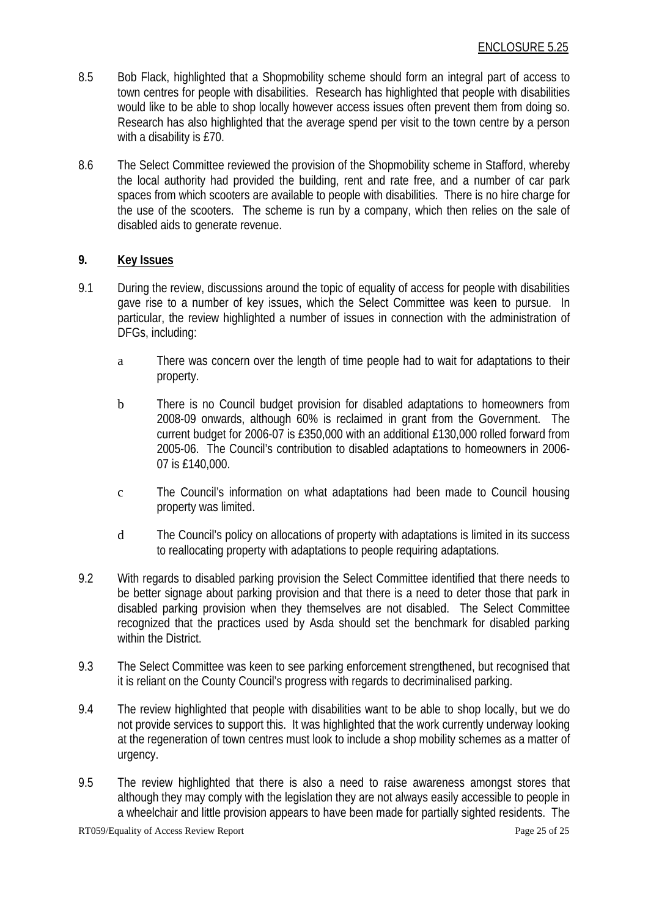- 8.5 Bob Flack, highlighted that a Shopmobility scheme should form an integral part of access to town centres for people with disabilities. Research has highlighted that people with disabilities would like to be able to shop locally however access issues often prevent them from doing so. Research has also highlighted that the average spend per visit to the town centre by a person with a disability is £70.
- 8.6 The Select Committee reviewed the provision of the Shopmobility scheme in Stafford, whereby the local authority had provided the building, rent and rate free, and a number of car park spaces from which scooters are available to people with disabilities. There is no hire charge for the use of the scooters. The scheme is run by a company, which then relies on the sale of disabled aids to generate revenue.

#### **9. Key Issues**

- 9.1 During the review, discussions around the topic of equality of access for people with disabilities gave rise to a number of key issues, which the Select Committee was keen to pursue. In particular, the review highlighted a number of issues in connection with the administration of DFGs, including:
	- a There was concern over the length of time people had to wait for adaptations to their property.
	- b There is no Council budget provision for disabled adaptations to homeowners from 2008-09 onwards, although 60% is reclaimed in grant from the Government. The current budget for 2006-07 is £350,000 with an additional £130,000 rolled forward from 2005-06. The Council's contribution to disabled adaptations to homeowners in 2006- 07 is £140,000.
	- c The Council's information on what adaptations had been made to Council housing property was limited.
	- d The Council's policy on allocations of property with adaptations is limited in its success to reallocating property with adaptations to people requiring adaptations.
- 9.2 With regards to disabled parking provision the Select Committee identified that there needs to be better signage about parking provision and that there is a need to deter those that park in disabled parking provision when they themselves are not disabled. The Select Committee recognized that the practices used by Asda should set the benchmark for disabled parking within the District.
- 9.3 The Select Committee was keen to see parking enforcement strengthened, but recognised that it is reliant on the County Council's progress with regards to decriminalised parking.
- 9.4 The review highlighted that people with disabilities want to be able to shop locally, but we do not provide services to support this. It was highlighted that the work currently underway looking at the regeneration of town centres must look to include a shop mobility schemes as a matter of urgency.
- 9.5 The review highlighted that there is also a need to raise awareness amongst stores that although they may comply with the legislation they are not always easily accessible to people in a wheelchair and little provision appears to have been made for partially sighted residents. The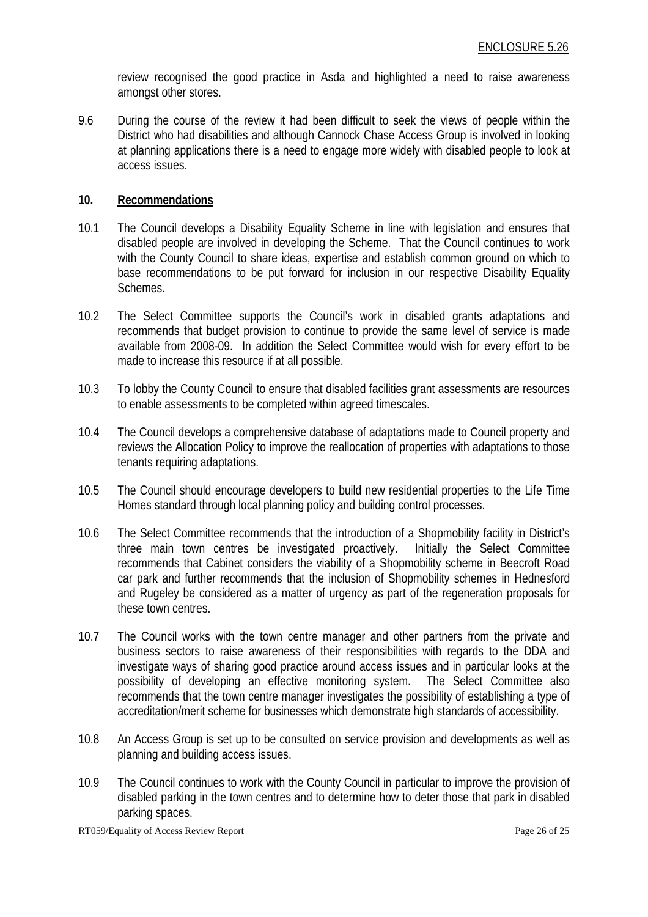review recognised the good practice in Asda and highlighted a need to raise awareness amongst other stores.

9.6 During the course of the review it had been difficult to seek the views of people within the District who had disabilities and although Cannock Chase Access Group is involved in looking at planning applications there is a need to engage more widely with disabled people to look at access issues.

#### **10. Recommendations**

- 10.1 The Council develops a Disability Equality Scheme in line with legislation and ensures that disabled people are involved in developing the Scheme. That the Council continues to work with the County Council to share ideas, expertise and establish common ground on which to base recommendations to be put forward for inclusion in our respective Disability Equality Schemes.
- 10.2 The Select Committee supports the Council's work in disabled grants adaptations and recommends that budget provision to continue to provide the same level of service is made available from 2008-09. In addition the Select Committee would wish for every effort to be made to increase this resource if at all possible.
- 10.3 To lobby the County Council to ensure that disabled facilities grant assessments are resources to enable assessments to be completed within agreed timescales.
- 10.4 The Council develops a comprehensive database of adaptations made to Council property and reviews the Allocation Policy to improve the reallocation of properties with adaptations to those tenants requiring adaptations.
- 10.5 The Council should encourage developers to build new residential properties to the Life Time Homes standard through local planning policy and building control processes.
- 10.6 The Select Committee recommends that the introduction of a Shopmobility facility in District's three main town centres be investigated proactively. Initially the Select Committee recommends that Cabinet considers the viability of a Shopmobility scheme in Beecroft Road car park and further recommends that the inclusion of Shopmobility schemes in Hednesford and Rugeley be considered as a matter of urgency as part of the regeneration proposals for these town centres.
- 10.7 The Council works with the town centre manager and other partners from the private and business sectors to raise awareness of their responsibilities with regards to the DDA and investigate ways of sharing good practice around access issues and in particular looks at the possibility of developing an effective monitoring system. The Select Committee also recommends that the town centre manager investigates the possibility of establishing a type of accreditation/merit scheme for businesses which demonstrate high standards of accessibility.
- 10.8 An Access Group is set up to be consulted on service provision and developments as well as planning and building access issues.
- 10.9 The Council continues to work with the County Council in particular to improve the provision of disabled parking in the town centres and to determine how to deter those that park in disabled parking spaces.